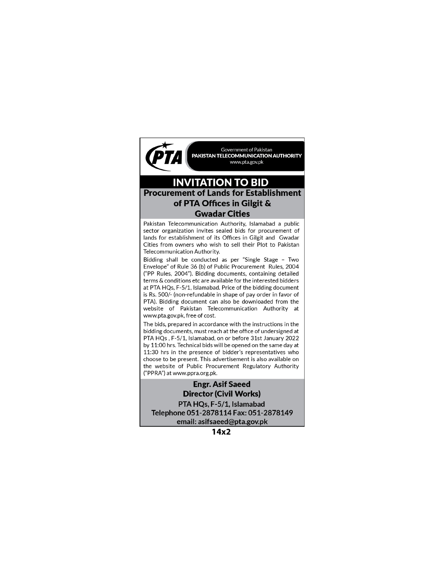

## **INVITATION TO BID Procurement of Lands for Establishment** of PTA Offices in Gilgit & **Gwadar Cities**

Pakistan Telecommunication Authority, Islamabad a public sector organization invites sealed bids for procurement of lands for establishment of its Offices in Gilgit and Gwadar Cities from owners who wish to sell their Plot to Pakistan Telecommunication Authority.

Bidding shall be conducted as per "Single Stage - Two Envelope" of Rule 36 (b) of Public Procurement Rules, 2004 ("PP Rules, 2004"). Bidding documents, containing detailed terms & conditions etc are available for the interested bidders at PTA HQs, F-5/1, Islamabad. Price of the bidding document is Rs. 500/- (non-refundable in shape of pay order in favor of PTA). Bidding document can also be downloaded from the website of Pakistan Telecommunication Authority at www.pta.gov.pk, free of cost.

The bids, prepared in accordance with the instructions in the bidding documents, must reach at the office of undersigned at PTA HQs, F-5/1, Islamabad, on or before 31st January 2022 by 11:00 hrs. Technical bids will be opened on the same day at 11:30 hrs in the presence of bidder's representatives who choose to be present. This advertisement is also available on the website of Public Procurement Regulatory Authority ("PPRA") at www.ppra.org.pk.

#### **Engr. Asif Saeed Director (Civil Works)**

PTA HQs, F-5/1, Islamabad Telephone 051-2878114 Fax: 051-2878149 email: asifsaeed@pta.gov.pk

 $14x2$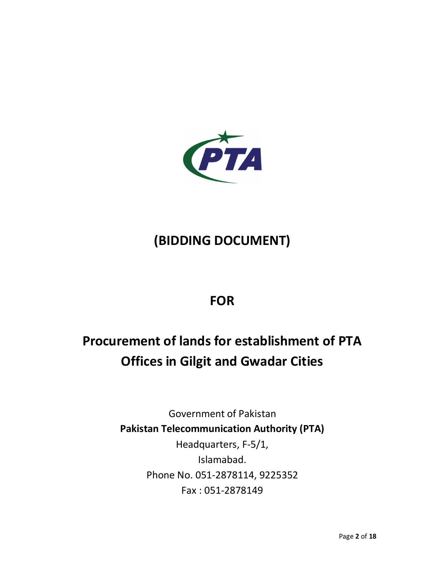

# **(BIDDING DOCUMENT)**

## **FOR**

# **Procurement of lands for establishment of PTA Offices in Gilgit and Gwadar Cities**

Government of Pakistan **Pakistan Telecommunication Authority (PTA)**  Headquarters, F-5/1, Islamabad. Phone No. 051-2878114, 9225352 Fax : 051-2878149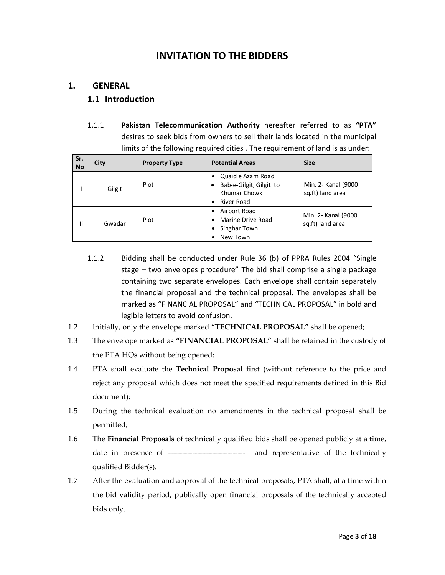## **INVITATION TO THE BIDDERS**

## **1. GENERAL**

#### **1.1 Introduction**

1.1.1 **Pakistan Telecommunication Authority** hereafter referred to as **"PTA"** desires to seek bids from owners to sell their lands located in the municipal limits of the following required cities . The requirement of land is as under:

| Sr.<br><b>No</b> | City   | <b>Property Type</b> | <b>Potential Areas</b>                                                     | <b>Size</b>                             |
|------------------|--------|----------------------|----------------------------------------------------------------------------|-----------------------------------------|
|                  | Gilgit | Plot                 | Quaid e Azam Road<br>Bab-e-Gilgit, Gilgit to<br>Khumar Chowk<br>River Road | Min: 2- Kanal (9000<br>sq.ft) land area |
| li               | Gwadar | Plot                 | Airport Road<br>Marine Drive Road<br>Singhar Town<br>New Town              | Min: 2- Kanal (9000<br>sq.ft) land area |

- 1.1.2 Bidding shall be conducted under Rule 36 (b) of PPRA Rules 2004 "Single stage – two envelopes procedure" The bid shall comprise a single package containing two separate envelopes. Each envelope shall contain separately the financial proposal and the technical proposal. The envelopes shall be marked as "FINANCIAL PROPOSAL" and "TECHNICAL PROPOSAL" in bold and legible letters to avoid confusion.
- 1.2 Initially, only the envelope marked **"TECHNICAL PROPOSAL"** shall be opened;
- 1.3 The envelope marked as **"FINANCIAL PROPOSAL"** shall be retained in the custody of the PTA HQs without being opened;
- 1.4 PTA shall evaluate the **Technical Proposal** first (without reference to the price and reject any proposal which does not meet the specified requirements defined in this Bid document);
- 1.5 During the technical evaluation no amendments in the technical proposal shall be permitted;
- 1.6 The **Financial Proposals** of technically qualified bids shall be opened publicly at a time, date in presence of ------------------------------- and representative of the technically qualified Bidder(s).
- 1.7 After the evaluation and approval of the technical proposals, PTA shall, at a time within the bid validity period, publically open financial proposals of the technically accepted bids only.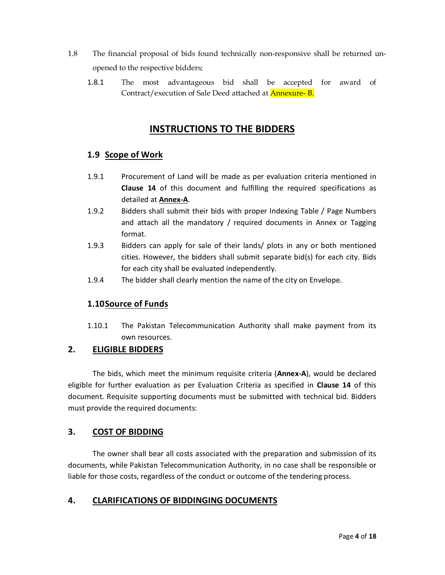- 1.8 The financial proposal of bids found technically non-responsive shall be returned unopened to the respective bidders;
	- 1.8.1 The most advantageous bid shall be accepted for award of Contract/execution of Sale Deed attached at Annexure- B.

## **INSTRUCTIONS TO THE BIDDERS**

## **1.9 Scope of Work**

- 1.9.1 Procurement of Land will be made as per evaluation criteria mentioned in **Clause 14** of this document and fulfilling the required specifications as detailed at **Annex-A**.
- 1.9.2 Bidders shall submit their bids with proper Indexing Table / Page Numbers and attach all the mandatory / required documents in Annex or Tagging format.
- 1.9.3 Bidders can apply for sale of their lands/ plots in any or both mentioned cities. However, the bidders shall submit separate bid(s) for each city. Bids for each city shall be evaluated independently.
- 1.9.4 The bidder shall clearly mention the name of the city on Envelope.

## **1.10Source of Funds**

1.10.1 The Pakistan Telecommunication Authority shall make payment from its own resources.

### **2. ELIGIBLE BIDDERS**

The bids, which meet the minimum requisite criteria (**Annex-A**), would be declared eligible for further evaluation as per Evaluation Criteria as specified in **Clause 14** of this document. Requisite supporting documents must be submitted with technical bid. Bidders must provide the required documents:

### **3. COST OF BIDDING**

The owner shall bear all costs associated with the preparation and submission of its documents, while Pakistan Telecommunication Authority, in no case shall be responsible or liable for those costs, regardless of the conduct or outcome of the tendering process.

## **4. CLARIFICATIONS OF BIDDINGING DOCUMENTS**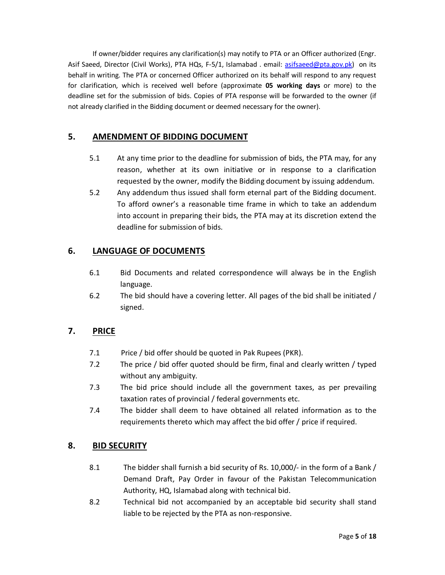If owner/bidder requires any clarification(s) may notify to PTA or an Officer authorized (Engr. Asif Saeed, Director (Civil Works), PTA HQs, F-5/1, Islamabad . email: asifsaeed@pta.gov.pk) on its behalf in writing. The PTA or concerned Officer authorized on its behalf will respond to any request for clarification, which is received well before (approximate **05 working days** or more) to the deadline set for the submission of bids. Copies of PTA response will be forwarded to the owner (if not already clarified in the Bidding document or deemed necessary for the owner).

## **5. AMENDMENT OF BIDDING DOCUMENT**

- 5.1 At any time prior to the deadline for submission of bids, the PTA may, for any reason, whether at its own initiative or in response to a clarification requested by the owner, modify the Bidding document by issuing addendum.
- 5.2 Any addendum thus issued shall form eternal part of the Bidding document. To afford owner's a reasonable time frame in which to take an addendum into account in preparing their bids, the PTA may at its discretion extend the deadline for submission of bids.

## **6. LANGUAGE OF DOCUMENTS**

- 6.1 Bid Documents and related correspondence will always be in the English language.
- 6.2 The bid should have a covering letter. All pages of the bid shall be initiated / signed.

### **7. PRICE**

- 7.1 Price / bid offer should be quoted in Pak Rupees (PKR).
- 7.2 The price / bid offer quoted should be firm, final and clearly written / typed without any ambiguity.
- 7.3 The bid price should include all the government taxes, as per prevailing taxation rates of provincial / federal governments etc.
- 7.4 The bidder shall deem to have obtained all related information as to the requirements thereto which may affect the bid offer / price if required.

### **8. BID SECURITY**

- 8.1 The bidder shall furnish a bid security of Rs. 10,000/- in the form of a Bank / Demand Draft, Pay Order in favour of the Pakistan Telecommunication Authority, HQ, Islamabad along with technical bid.
- 8.2 Technical bid not accompanied by an acceptable bid security shall stand liable to be rejected by the PTA as non-responsive.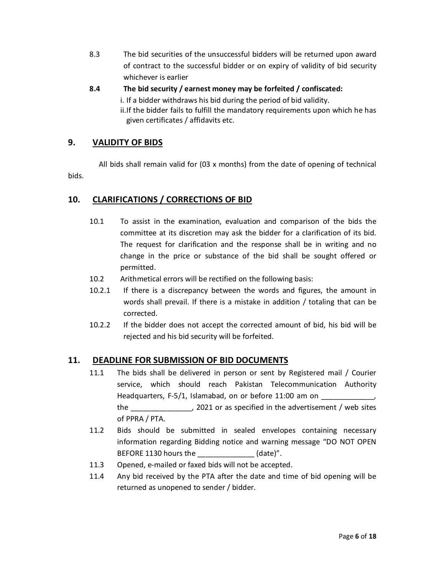- 8.3 The bid securities of the unsuccessful bidders will be returned upon award of contract to the successful bidder or on expiry of validity of bid security whichever is earlier
- **8.4 The bid security / earnest money may be forfeited / confiscated:** 
	- i. If a bidder withdraws his bid during the period of bid validity.
	- ii.If the bidder fails to fulfill the mandatory requirements upon which he has given certificates / affidavits etc.

## **9. VALIDITY OF BIDS**

 All bids shall remain valid for (03 x months) from the date of opening of technical bids.

### **10. CLARIFICATIONS / CORRECTIONS OF BID**

- 10.1 To assist in the examination, evaluation and comparison of the bids the committee at its discretion may ask the bidder for a clarification of its bid. The request for clarification and the response shall be in writing and no change in the price or substance of the bid shall be sought offered or permitted.
- 10.2 Arithmetical errors will be rectified on the following basis:
- 10.2.1 If there is a discrepancy between the words and figures, the amount in words shall prevail. If there is a mistake in addition / totaling that can be corrected.
- 10.2.2 If the bidder does not accept the corrected amount of bid, his bid will be rejected and his bid security will be forfeited.

### **11. DEADLINE FOR SUBMISSION OF BID DOCUMENTS**

- 11.1 The bids shall be delivered in person or sent by Registered mail / Courier service, which should reach Pakistan Telecommunication Authority Headquarters, F-5/1, Islamabad, on or before 11:00 am on the \_\_\_\_\_\_\_\_\_\_\_\_\_\_\_, 2021 or as specified in the advertisement / web sites of PPRA / PTA.
- 11.2 Bids should be submitted in sealed envelopes containing necessary information regarding Bidding notice and warning message "DO NOT OPEN BEFORE 1130 hours the  $(date)''$ .
- 11.3 Opened, e-mailed or faxed bids will not be accepted.
- 11.4 Any bid received by the PTA after the date and time of bid opening will be returned as unopened to sender / bidder.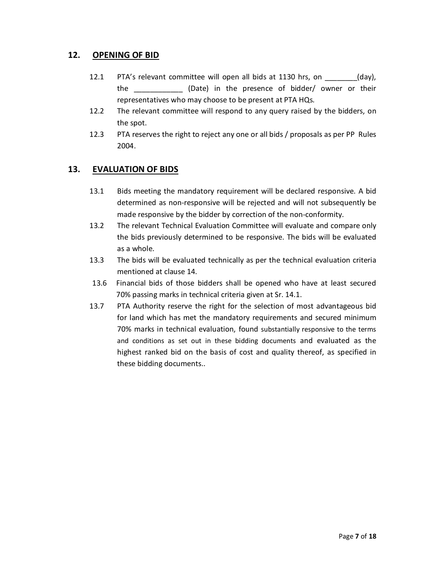### **12. OPENING OF BID**

- 12.1 PTA's relevant committee will open all bids at 1130 hrs, on \_\_\_\_\_\_\_\_(day), the \_\_\_\_\_\_\_\_\_\_\_\_ (Date) in the presence of bidder/ owner or their representatives who may choose to be present at PTA HQs.
- 12.2 The relevant committee will respond to any query raised by the bidders, on the spot.
- 12.3 PTA reserves the right to reject any one or all bids / proposals as per PP Rules 2004.

#### **13. EVALUATION OF BIDS**

- 13.1 Bids meeting the mandatory requirement will be declared responsive. A bid determined as non-responsive will be rejected and will not subsequently be made responsive by the bidder by correction of the non-conformity.
- 13.2 The relevant Technical Evaluation Committee will evaluate and compare only the bids previously determined to be responsive. The bids will be evaluated as a whole.
- 13.3 The bids will be evaluated technically as per the technical evaluation criteria mentioned at clause 14.
- 13.6 Financial bids of those bidders shall be opened who have at least secured 70% passing marks in technical criteria given at Sr. 14.1.
- 13.7 PTA Authority reserve the right for the selection of most advantageous bid for land which has met the mandatory requirements and secured minimum 70% marks in technical evaluation, found substantially responsive to the terms and conditions as set out in these bidding documents and evaluated as the highest ranked bid on the basis of cost and quality thereof, as specified in these bidding documents..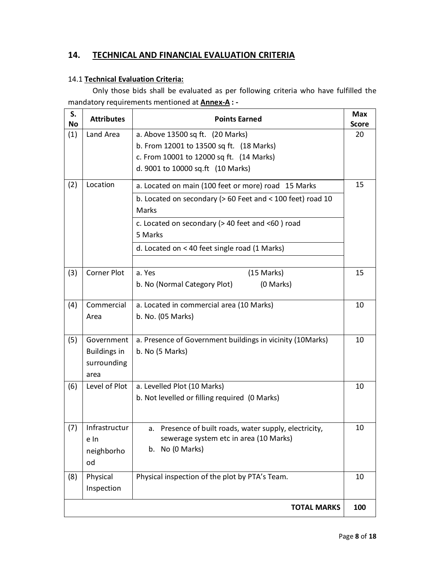## **14. TECHNICAL AND FINANCIAL EVALUATION CRITERIA**

#### 14.1 **Technical Evaluation Criteria:**

Only those bids shall be evaluated as per following criteria who have fulfilled the mandatory requirements mentioned at **Annex-A : -** 

| S.<br>No | <b>Attributes</b>                                               | <b>Points Earned</b>                                                                             | <b>Max</b><br><b>Score</b> |  |  |
|----------|-----------------------------------------------------------------|--------------------------------------------------------------------------------------------------|----------------------------|--|--|
| (1)      | Land Area                                                       | a. Above 13500 sq ft. (20 Marks)                                                                 | 20                         |  |  |
|          |                                                                 | b. From 12001 to 13500 sq ft. (18 Marks)                                                         |                            |  |  |
|          |                                                                 | c. From 10001 to 12000 sq ft. (14 Marks)                                                         |                            |  |  |
|          |                                                                 | d. 9001 to 10000 sq.ft (10 Marks)                                                                |                            |  |  |
| (2)      | Location                                                        | a. Located on main (100 feet or more) road 15 Marks                                              | 15                         |  |  |
|          |                                                                 | b. Located on secondary ( $> 60$ Feet and $< 100$ feet) road 10<br>Marks                         |                            |  |  |
|          | c. Located on secondary ( $>$ 40 feet and <60 ) road<br>5 Marks |                                                                                                  |                            |  |  |
|          |                                                                 | d. Located on < 40 feet single road (1 Marks)                                                    |                            |  |  |
| (3)      | Corner Plot                                                     | a. Yes<br>(15 Marks)                                                                             | 15                         |  |  |
|          |                                                                 | b. No (Normal Category Plot)<br>(0 Marks)                                                        |                            |  |  |
| (4)      | Commercial                                                      | a. Located in commercial area (10 Marks)                                                         | 10                         |  |  |
|          | Area                                                            | b. No. (05 Marks)                                                                                |                            |  |  |
| (5)      | Government                                                      | a. Presence of Government buildings in vicinity (10Marks)                                        | 10                         |  |  |
|          | <b>Buildings in</b><br>surrounding<br>area                      | b. No (5 Marks)                                                                                  |                            |  |  |
| (6)      | Level of Plot                                                   | a. Levelled Plot (10 Marks)                                                                      | 10                         |  |  |
|          |                                                                 | b. Not levelled or filling required (0 Marks)                                                    |                            |  |  |
| (7)      | Infrastructur<br>e In                                           | a. Presence of built roads, water supply, electricity,<br>sewerage system etc in area (10 Marks) | 10                         |  |  |
|          | neighborho<br>od                                                | b. No (0 Marks)                                                                                  |                            |  |  |
| (8)      | Physical                                                        | Physical inspection of the plot by PTA's Team.                                                   | 10                         |  |  |
|          | Inspection                                                      |                                                                                                  |                            |  |  |
|          |                                                                 | <b>TOTAL MARKS</b>                                                                               | 100                        |  |  |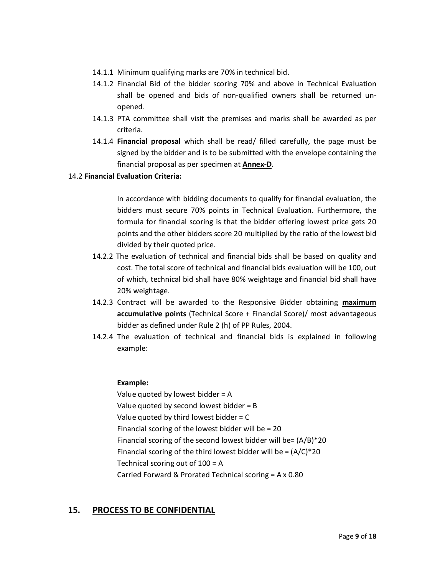- 14.1.1 Minimum qualifying marks are 70% in technical bid.
- 14.1.2 Financial Bid of the bidder scoring 70% and above in Technical Evaluation shall be opened and bids of non-qualified owners shall be returned unopened.
- 14.1.3 PTA committee shall visit the premises and marks shall be awarded as per criteria.
- 14.1.4 **Financial proposal** which shall be read/ filled carefully, the page must be signed by the bidder and is to be submitted with the envelope containing the financial proposal as per specimen at **Annex-D**.

#### 14.2 **Financial Evaluation Criteria:**

In accordance with bidding documents to qualify for financial evaluation, the bidders must secure 70% points in Technical Evaluation. Furthermore, the formula for financial scoring is that the bidder offering lowest price gets 20 points and the other bidders score 20 multiplied by the ratio of the lowest bid divided by their quoted price.

- 14.2.2 The evaluation of technical and financial bids shall be based on quality and cost. The total score of technical and financial bids evaluation will be 100, out of which, technical bid shall have 80% weightage and financial bid shall have 20% weightage.
- 14.2.3 Contract will be awarded to the Responsive Bidder obtaining **maximum accumulative points** (Technical Score + Financial Score)/ most advantageous bidder as defined under Rule 2 (h) of PP Rules, 2004.
- 14.2.4 The evaluation of technical and financial bids is explained in following example:

#### **Example:**

Value quoted by lowest bidder = A Value quoted by second lowest bidder = B Value quoted by third lowest bidder  $= C$ Financial scoring of the lowest bidder will be = 20 Financial scoring of the second lowest bidder will be= $(A/B)*20$ Financial scoring of the third lowest bidder will be  $=(A/C)^*20$ Technical scoring out of 100 = A Carried Forward & Prorated Technical scoring = A x 0.80

### **15. PROCESS TO BE CONFIDENTIAL**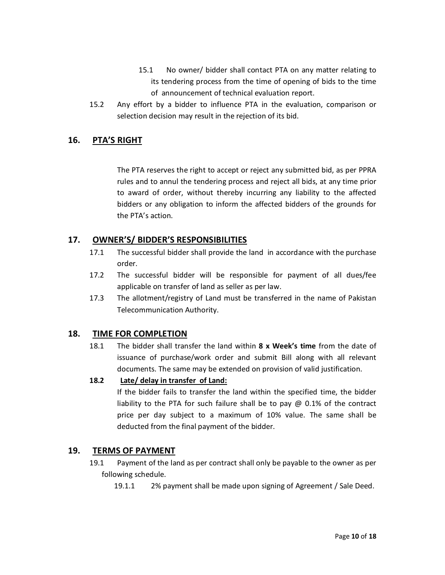- 15.1 No owner/ bidder shall contact PTA on any matter relating to its tendering process from the time of opening of bids to the time of announcement of technical evaluation report.
- 15.2 Any effort by a bidder to influence PTA in the evaluation, comparison or selection decision may result in the rejection of its bid.

### **16. PTA'S RIGHT**

The PTA reserves the right to accept or reject any submitted bid, as per PPRA rules and to annul the tendering process and reject all bids, at any time prior to award of order, without thereby incurring any liability to the affected bidders or any obligation to inform the affected bidders of the grounds for the PTA's action.

### **17. OWNER'S/ BIDDER'S RESPONSIBILITIES**

- 17.1 The successful bidder shall provide the land in accordance with the purchase order.
- 17.2 The successful bidder will be responsible for payment of all dues/fee applicable on transfer of land as seller as per law.
- 17.3 The allotment/registry of Land must be transferred in the name of Pakistan Telecommunication Authority.

### **18. TIME FOR COMPLETION**

18.1 The bidder shall transfer the land within **8 x Week's time** from the date of issuance of purchase/work order and submit Bill along with all relevant documents. The same may be extended on provision of valid justification.

#### **18.2 Late/ delay in transfer of Land:**

If the bidder fails to transfer the land within the specified time, the bidder liability to the PTA for such failure shall be to pay @ 0.1% of the contract price per day subject to a maximum of 10% value. The same shall be deducted from the final payment of the bidder.

### **19. TERMS OF PAYMENT**

- 19.1 Payment of the land as per contract shall only be payable to the owner as per following schedule.
	- 19.1.1 2% payment shall be made upon signing of Agreement / Sale Deed.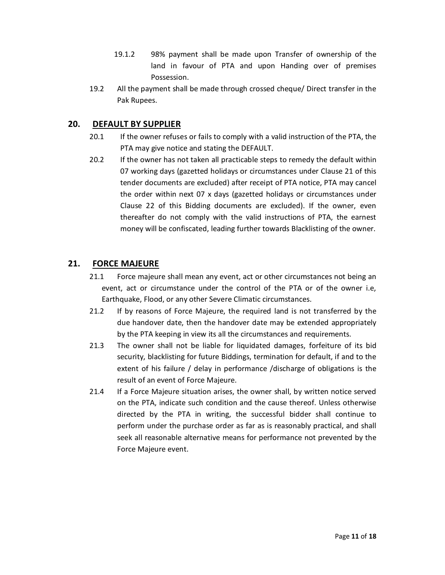- 19.1.2 98% payment shall be made upon Transfer of ownership of the land in favour of PTA and upon Handing over of premises Possession.
- 19.2 All the payment shall be made through crossed cheque/ Direct transfer in the Pak Rupees.

## **20. DEFAULT BY SUPPLIER**

- 20.1 If the owner refuses or fails to comply with a valid instruction of the PTA, the PTA may give notice and stating the DEFAULT.
- 20.2 If the owner has not taken all practicable steps to remedy the default within 07 working days (gazetted holidays or circumstances under Clause 21 of this tender documents are excluded) after receipt of PTA notice, PTA may cancel the order within next 07 x days (gazetted holidays or circumstances under Clause 22 of this Bidding documents are excluded). If the owner, even thereafter do not comply with the valid instructions of PTA, the earnest money will be confiscated, leading further towards Blacklisting of the owner.

## **21. FORCE MAJEURE**

- 21.1 Force majeure shall mean any event, act or other circumstances not being an event, act or circumstance under the control of the PTA or of the owner i.e, Earthquake, Flood, or any other Severe Climatic circumstances.
- 21.2 If by reasons of Force Majeure, the required land is not transferred by the due handover date, then the handover date may be extended appropriately by the PTA keeping in view its all the circumstances and requirements.
- 21.3 The owner shall not be liable for liquidated damages, forfeiture of its bid security, blacklisting for future Biddings, termination for default, if and to the extent of his failure / delay in performance /discharge of obligations is the result of an event of Force Majeure.
- 21.4 If a Force Majeure situation arises, the owner shall, by written notice served on the PTA, indicate such condition and the cause thereof. Unless otherwise directed by the PTA in writing, the successful bidder shall continue to perform under the purchase order as far as is reasonably practical, and shall seek all reasonable alternative means for performance not prevented by the Force Majeure event.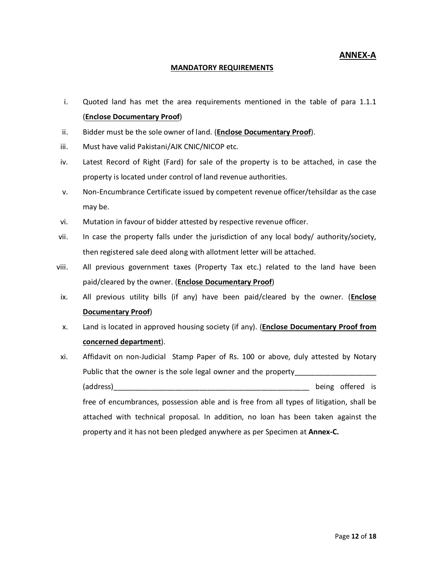**ANNEX-A** 

#### **MANDATORY REQUIREMENTS**

- i. Quoted land has met the area requirements mentioned in the table of para 1.1.1 (**Enclose Documentary Proof**)
- ii. Bidder must be the sole owner of land. (**Enclose Documentary Proof**).
- iii. Must have valid Pakistani/AJK CNIC/NICOP etc.
- iv. Latest Record of Right (Fard) for sale of the property is to be attached, in case the property is located under control of land revenue authorities.
- v. Non-Encumbrance Certificate issued by competent revenue officer/tehsildar as the case may be.
- vi. Mutation in favour of bidder attested by respective revenue officer.
- vii. In case the property falls under the jurisdiction of any local body/ authority/society, then registered sale deed along with allotment letter will be attached.
- viii. All previous government taxes (Property Tax etc.) related to the land have been paid/cleared by the owner. (**Enclose Documentary Proof**)
- ix. All previous utility bills (if any) have been paid/cleared by the owner. (**Enclose Documentary Proof**)
- x. Land is located in approved housing society (if any). (**Enclose Documentary Proof from concerned department**).
- xi. Affidavit on non-Judicial Stamp Paper of Rs. 100 or above, duly attested by Notary Public that the owner is the sole legal owner and the property\_\_\_\_\_\_\_\_\_\_\_\_\_\_\_\_\_\_ (address) and the contract of the contract of the contract of the contract of the contract of the contract of the contract of the contract of the contract of the contract of the contract of the contract of the contract of free of encumbrances, possession able and is free from all types of litigation, shall be attached with technical proposal. In addition, no loan has been taken against the property and it has not been pledged anywhere as per Specimen at **Annex-C.**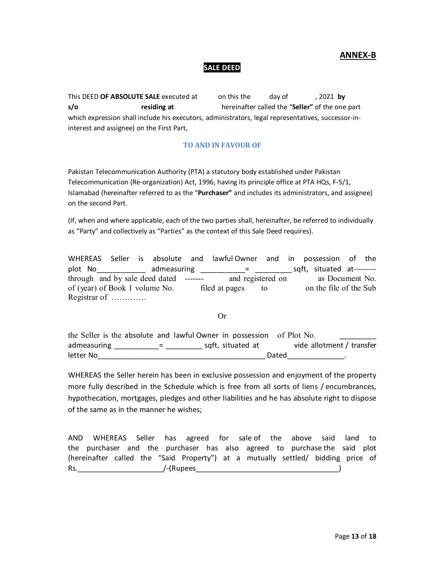#### **ANNEX-B**

#### **SALE DEED**

This DEED **OF ABSOLUTE SALE** executed at on this the day of , 2021 **by s/o residing at** hereinafter called the "**Seller"** of the one part which expression shall include his executors, administrators, legal representatives, successor-ininterest and assignee) on the First Part,

#### **TO AND IN FAVOUR OF**

Pakistan Telecommunication Authority (PTA) a statutory body established under Pakistan Telecommunication (Re-organization) Act, 1996, having its principle office at PTA HQs, F-5/1, Islamabad (hereinafter referred to as the "**Purchaser"** and includes its administrators, and assignee) on the second Part.

(If, when and where applicable, each of the two parties shall, hereinafter, be referred to individually as "Party" and collectively as "Parties" as the context of this Sale Deed requires).

WHEREAS Seller is absolute and lawful Owner and in possession of the plot No\_\_\_\_\_\_\_\_\_\_\_\_\_ admeasuring \_\_\_\_\_\_\_\_\_\_\_\_= \_\_\_\_\_\_\_\_\_\_\_ sqft, situated at--------through and by sale deed dated ------- and registered on as Document No. of (year) of Book 1 volume No. filed at pages to on the file of the Sub Registrar of ………….

Or

the Seller is the absolute and lawful Owner in possession of Plot No. admeasuring \_\_\_\_\_\_\_\_\_\_\_= \_\_\_\_\_\_\_\_\_\_\_ sqft, situated at vide allotment / transfer letter No\_\_\_\_\_\_\_\_\_\_\_\_\_\_\_\_\_\_\_\_\_\_\_\_\_\_\_\_\_\_\_\_\_\_\_\_\_\_\_\_\_ Dated\_\_\_\_\_\_\_\_\_\_\_\_\_\_.

WHEREAS the Seller herein has been in exclusive possession and enjoyment of the property more fully described in the Schedule which is free from all sorts of liens / encumbrances, hypothecation, mortgages, pledges and other liabilities and he has absolute right to dispose of the same as in the manner he wishes;

AND WHEREAS Seller has agreed for sale of the above said land to the purchaser and the purchaser has also agreed to purchase the said plot (hereinafter called the "Said Property") at a mutually settled/ bidding price of Rs.\_\_\_\_\_\_\_\_\_\_\_\_\_\_\_\_\_\_\_\_\_/-(Rupees\_\_\_\_\_\_\_\_\_\_\_\_\_\_\_\_\_\_\_\_\_\_\_\_\_\_\_\_\_\_\_\_\_\_\_)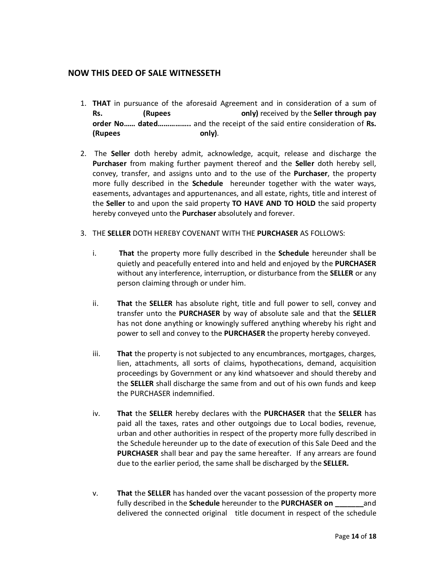#### **NOW THIS DEED OF SALE WITNESSETH**

- 1. **THAT** in pursuance of the aforesaid Agreement and in consideration of a sum of **Rs. (Rupees only)** received by the **Seller through pay order No…… dated……………..** and the receipt of the said entire consideration of **Rs. (Rupees only)**.
- 2. The **Seller** doth hereby admit, acknowledge, acquit, release and discharge the **Purchaser** from making further payment thereof and the **Seller** doth hereby sell, convey, transfer, and assigns unto and to the use of the **Purchaser**, the property more fully described in the **Schedule** hereunder together with the water ways, easements, advantages and appurtenances, and all estate, rights, title and interest of the **Seller** to and upon the said property **TO HAVE AND TO HOLD** the said property hereby conveyed unto the **Purchaser** absolutely and forever.
- 3. THE **SELLER** DOTH HEREBY COVENANT WITH THE **PURCHASER** AS FOLLOWS:
	- i. **That** the property more fully described in the **Schedule** hereunder shall be quietly and peacefully entered into and held and enjoyed by the **PURCHASER** without any interference, interruption, or disturbance from the **SELLER** or any person claiming through or under him.
	- ii. **That** the **SELLER** has absolute right, title and full power to sell, convey and transfer unto the **PURCHASER** by way of absolute sale and that the **SELLER**  has not done anything or knowingly suffered anything whereby his right and power to sell and convey to the **PURCHASER** the property hereby conveyed.
	- iii. **That** the property is not subjected to any encumbrances, mortgages, charges, lien, attachments, all sorts of claims, hypothecations, demand, acquisition proceedings by Government or any kind whatsoever and should thereby and the **SELLER** shall discharge the same from and out of his own funds and keep the PURCHASER indemnified.
	- iv. **That** the **SELLER** hereby declares with the **PURCHASER** that the **SELLER** has paid all the taxes, rates and other outgoings due to Local bodies, revenue, urban and other authorities in respect of the property more fully described in the Schedule hereunder up to the date of execution of this Sale Deed and the **PURCHASER** shall bear and pay the same hereafter. If any arrears are found due to the earlier period, the same shall be discharged by the **SELLER.**
	- v. **That** the **SELLER** has handed over the vacant possession of the property more fully described in the **Schedule** hereunder to the **PURCHASER on \_\_\_\_\_\_\_**and delivered the connected original title document in respect of the schedule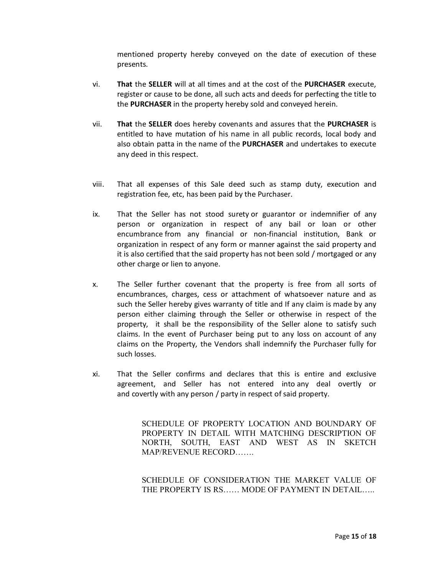mentioned property hereby conveyed on the date of execution of these presents.

- vi. **That** the **SELLER** will at all times and at the cost of the **PURCHASER** execute, register or cause to be done, all such acts and deeds for perfecting the title to the **PURCHASER** in the property hereby sold and conveyed herein.
- vii. **That** the **SELLER** does hereby covenants and assures that the **PURCHASER** is entitled to have mutation of his name in all public records, local body and also obtain patta in the name of the **PURCHASER** and undertakes to execute any deed in this respect.
- viii. That all expenses of this Sale deed such as stamp duty, execution and registration fee, etc, has been paid by the Purchaser.
- ix. That the Seller has not stood surety or guarantor or indemnifier of any person or organization in respect of any bail or loan or other encumbrance from any financial or non-financial institution, Bank or organization in respect of any form or manner against the said property and it is also certified that the said property has not been sold / mortgaged or any other charge or lien to anyone.
- x. The Seller further covenant that the property is free from all sorts of encumbrances, charges, cess or attachment of whatsoever nature and as such the Seller hereby gives warranty of title and If any claim is made by any person either claiming through the Seller or otherwise in respect of the property, it shall be the responsibility of the Seller alone to satisfy such claims. In the event of Purchaser being put to any loss on account of any claims on the Property, the Vendors shall indemnify the Purchaser fully for such losses.
- xi. That the Seller confirms and declares that this is entire and exclusive agreement, and Seller has not entered into any deal overtly or and covertly with any person / party in respect of said property.

SCHEDULE OF PROPERTY LOCATION AND BOUNDARY OF PROPERTY IN DETAIL WITH MATCHING DESCRIPTION OF NORTH, SOUTH, EAST AND WEST AS IN SKETCH MAP/REVENUE RECORD…….

SCHEDULE OF CONSIDERATION THE MARKET VALUE OF THE PROPERTY IS RS…… MODE OF PAYMENT IN DETAIL…..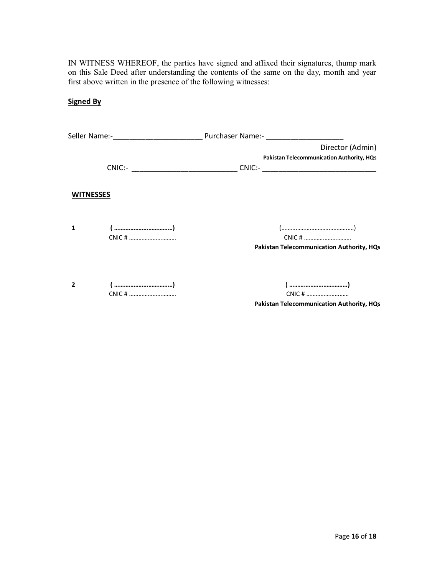IN WITNESS WHEREOF, the parties have signed and affixed their signatures, thump mark on this Sale Deed after understanding the contents of the same on the day, month and year first above written in the presence of the following witnesses:

**Signed By** 

|           |        | Director (Admin)<br>Pakistan Telecommunication Authority, HQs                    |
|-----------|--------|----------------------------------------------------------------------------------|
|           |        | CNIC:- _________________________________CNIC:- _________________________________ |
| WITNESSES |        |                                                                                  |
| 1         |        | ()<br>Pakistan Telecommunication Authority, HQs                                  |
|           | CNIC # | CNIC #<br>Pakistan Telecommunication Authority, HQs                              |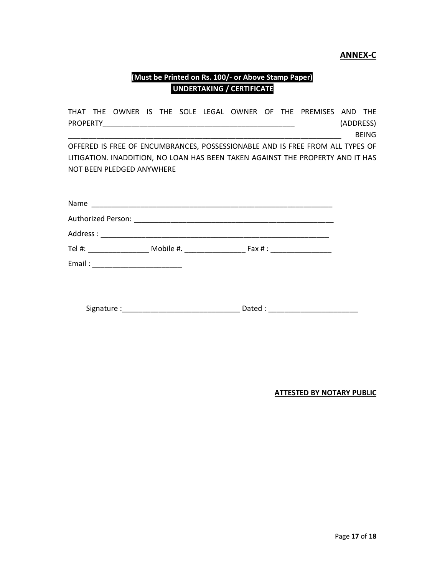#### **ANNEX-C**

## **(Must be Printed on Rs. 100/- or Above Stamp Paper) UNDERTAKING / CERTIFICATE**

|  |                           |  |  |  | THAT THE OWNER IS THE SOLE LEGAL OWNER OF THE PREMISES AND THE                 |           |              |
|--|---------------------------|--|--|--|--------------------------------------------------------------------------------|-----------|--------------|
|  |                           |  |  |  |                                                                                | (ADDRESS) |              |
|  |                           |  |  |  |                                                                                |           | <b>BEING</b> |
|  |                           |  |  |  | OFFERED IS FREE OF ENCUMBRANCES, POSSESSIONABLE AND IS FREE FROM ALL TYPES OF  |           |              |
|  |                           |  |  |  | LITIGATION. INADDITION, NO LOAN HAS BEEN TAKEN AGAINST THE PROPERTY AND IT HAS |           |              |
|  | NOT BEEN PLEDGED ANYWHERE |  |  |  |                                                                                |           |              |
|  |                           |  |  |  |                                                                                |           |              |
|  |                           |  |  |  |                                                                                |           |              |
|  |                           |  |  |  |                                                                                |           |              |
|  |                           |  |  |  |                                                                                |           |              |
|  |                           |  |  |  |                                                                                |           |              |
|  |                           |  |  |  |                                                                                |           |              |
|  |                           |  |  |  |                                                                                |           |              |
|  |                           |  |  |  |                                                                                |           |              |

Signature :\_\_\_\_\_\_\_\_\_\_\_\_\_\_\_\_\_\_\_\_\_\_\_\_\_\_\_\_\_ Dated : \_\_\_\_\_\_\_\_\_\_\_\_\_\_\_\_\_\_\_\_\_\_

**ATTESTED BY NOTARY PUBLIC**